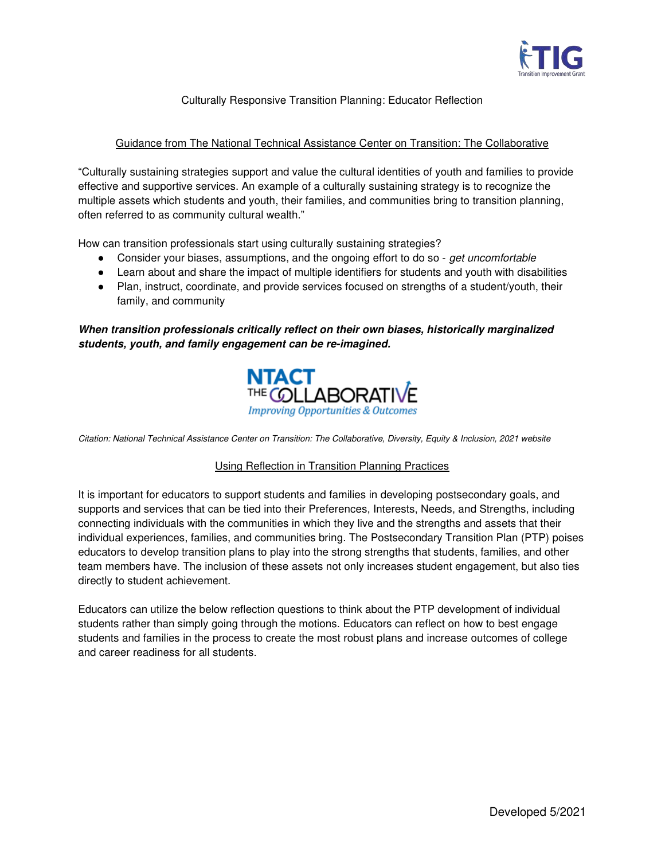

## Culturally Responsive Transition Planning: Educator Reflection

## Guidance from The National Technical Assistance Center on Transition: The Collaborative

"Culturally sustaining strategies support and value the cultural identities of youth and families to provide effective and supportive services. An example of a culturally sustaining strategy is to recognize the multiple assets which students and youth, their families, and communities bring to transition planning, often referred to as community cultural wealth."

How can transition professionals start using culturally sustaining strategies?

- Consider your biases, assumptions, and the ongoing effort to do so get uncomfortable
- Learn about and share the impact of multiple identifiers for students and youth with disabilities
- Plan, instruct, coordinate, and provide services focused on strengths of a student/youth, their family, and community

## **When transition professionals critically reflect on their own biases, historically marginalized students, youth, and family engagement can be re-imagined.**



Citation: National Technical Assistance Center on Transition: The Collaborative, Diversity, Equity & Inclusion, 2021 website

## Using Reflection in Transition Planning Practices

It is important for educators to support students and families in developing postsecondary goals, and supports and services that can be tied into their Preferences, Interests, Needs, and Strengths, including connecting individuals with the communities in which they live and the strengths and assets that their individual experiences, families, and communities bring. The Postsecondary Transition Plan (PTP) poises educators to develop transition plans to play into the strong strengths that students, families, and other team members have. The inclusion of these assets not only increases student engagement, but also ties directly to student achievement.

Educators can utilize the below reflection questions to think about the PTP development of individual students rather than simply going through the motions. Educators can reflect on how to best engage students and families in the process to create the most robust plans and increase outcomes of college and career readiness for all students.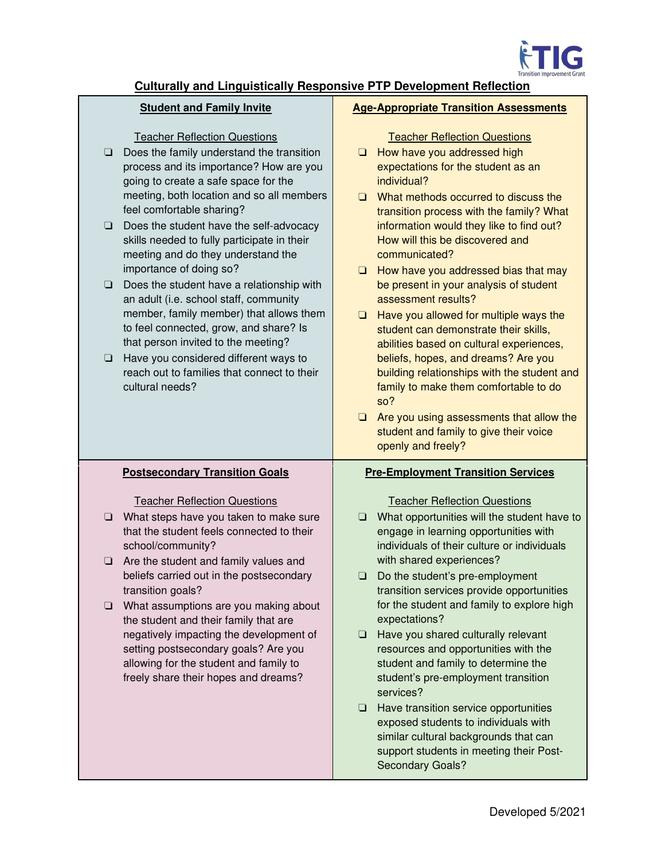

# **Culturally and Linguistically Responsive PTP Development Reflection**

## **Student and Family Invite**

Teacher Reflection Questions

- ❏ Does the family understand the transition process and its importance? How are you going to create a safe space for the meeting, both location and so all members feel comfortable sharing?
- ❏ Does the student have the self-advocacy skills needed to fully participate in their meeting and do they understand the importance of doing so?
- ❏ Does the student have a relationship with an adult (i.e. school staff, community member, family member) that allows them to feel connected, grow, and share? Is that person invited to the meeting?
- ❏ Have you considered different ways to reach out to families that connect to their cultural needs?

# **Postsecondary Transition Goals**

## Teacher Reflection Questions

- ❏ What steps have you taken to make sure that the student feels connected to their school/community?
- ❏ Are the student and family values and beliefs carried out in the postsecondary transition goals?
- ❏ What assumptions are you making about the student and their family that are negatively impacting the development of setting postsecondary goals? Are you allowing for the student and family to freely share their hopes and dreams?

### **Age-Appropriate Transition Assessments**

|                                           | <b>Teacher Reflection Questions</b>                                               |
|-------------------------------------------|-----------------------------------------------------------------------------------|
| $\Box$                                    | How have you addressed high                                                       |
|                                           | expectations for the student as an<br>individual?                                 |
| $\Box$                                    | What methods occurred to discuss the                                              |
|                                           | transition process with the family? What                                          |
|                                           | information would they like to find out?                                          |
|                                           | How will this be discovered and                                                   |
|                                           | communicated?                                                                     |
| $\Box$                                    | How have you addressed bias that may                                              |
|                                           | be present in your analysis of student                                            |
|                                           | assessment results?                                                               |
| $\Box$                                    | Have you allowed for multiple ways the                                            |
|                                           | student can demonstrate their skills,                                             |
|                                           | abilities based on cultural experiences,                                          |
|                                           | beliefs, hopes, and dreams? Are you                                               |
|                                           | building relationships with the student and                                       |
|                                           | family to make them comfortable to do                                             |
|                                           | so?                                                                               |
| $\Box$                                    | Are you using assessments that allow the                                          |
|                                           | student and family to give their voice                                            |
|                                           | openly and freely?                                                                |
| <b>Pre-Employment Transition Services</b> |                                                                                   |
|                                           | <b>Teacher Reflection Questions</b>                                               |
| $\Box$                                    | What opportunities will the student have to                                       |
|                                           | engage in learning opportunities with                                             |
|                                           | individuals of their culture or individuals                                       |
|                                           | with shared experiences?                                                          |
| ❏                                         | Do the student's pre-employment                                                   |
|                                           | transition services provide opportunities                                         |
|                                           | for the student and family to explore high                                        |
|                                           |                                                                                   |
|                                           | expectations?                                                                     |
| ❏                                         | Have you shared culturally relevant<br>and the state of the state of the state of |

- resources and opportunities with the student and family to determine the student's pre-employment transition services?
- ❏ Have transition service opportunities exposed students to individuals with similar cultural backgrounds that can support students in meeting their Post-Secondary Goals?